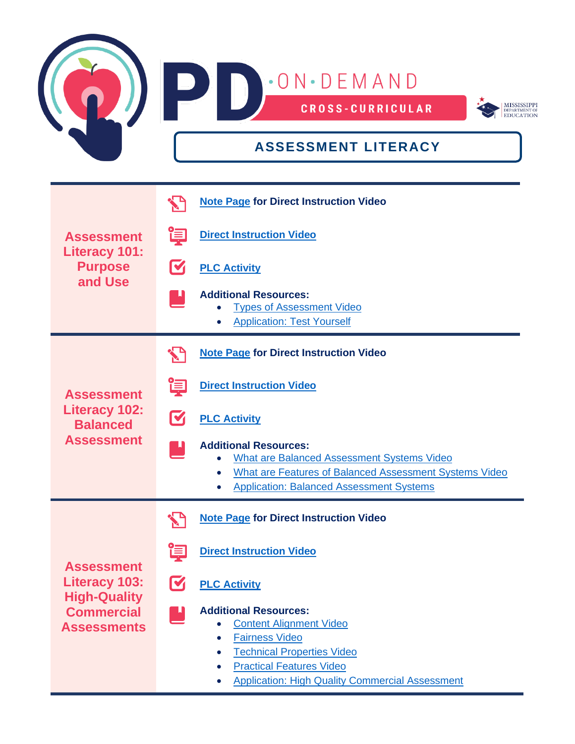

| <b>Assessment</b><br><b>Literacy 101:</b><br><b>Purpose</b><br>and Use                                      |                | <b>Note Page for Direct Instruction Video</b>                                                                                                                                                                             |
|-------------------------------------------------------------------------------------------------------------|----------------|---------------------------------------------------------------------------------------------------------------------------------------------------------------------------------------------------------------------------|
|                                                                                                             | 闫              | <b>Direct Instruction Video</b>                                                                                                                                                                                           |
|                                                                                                             | M              | <b>PLC Activity</b>                                                                                                                                                                                                       |
|                                                                                                             |                | <b>Additional Resources:</b><br><b>Types of Assessment Video</b><br><b>Application: Test Yourself</b>                                                                                                                     |
| <b>Assessment</b><br><b>Literacy 102:</b><br><b>Balanced</b><br><b>Assessment</b>                           |                | <b>Note Page for Direct Instruction Video</b>                                                                                                                                                                             |
|                                                                                                             | 直              | <b>Direct Instruction Video</b>                                                                                                                                                                                           |
|                                                                                                             | $\blacksquare$ | <b>PLC Activity</b>                                                                                                                                                                                                       |
|                                                                                                             |                | <b>Additional Resources:</b><br><b>What are Balanced Assessment Systems Video</b><br>What are Features of Balanced Assessment Systems Video<br>$\bullet$<br><b>Application: Balanced Assessment Systems</b>               |
| <b>Assessment</b><br><b>Literacy 103:</b><br><b>High-Quality</b><br><b>Commercial</b><br><b>Assessments</b> |                | <b>Note Page for Direct Instruction Video</b>                                                                                                                                                                             |
|                                                                                                             | 闫              | <b>Direct Instruction Video</b>                                                                                                                                                                                           |
|                                                                                                             | M              | <b>PLC Activity</b>                                                                                                                                                                                                       |
|                                                                                                             |                | <b>Additional Resources:</b><br><b>Content Alignment Video</b><br><b>Fairness Video</b><br><b>Technical Properties Video</b><br><b>Practical Features Video</b><br><b>Application: High Quality Commercial Assessment</b> |